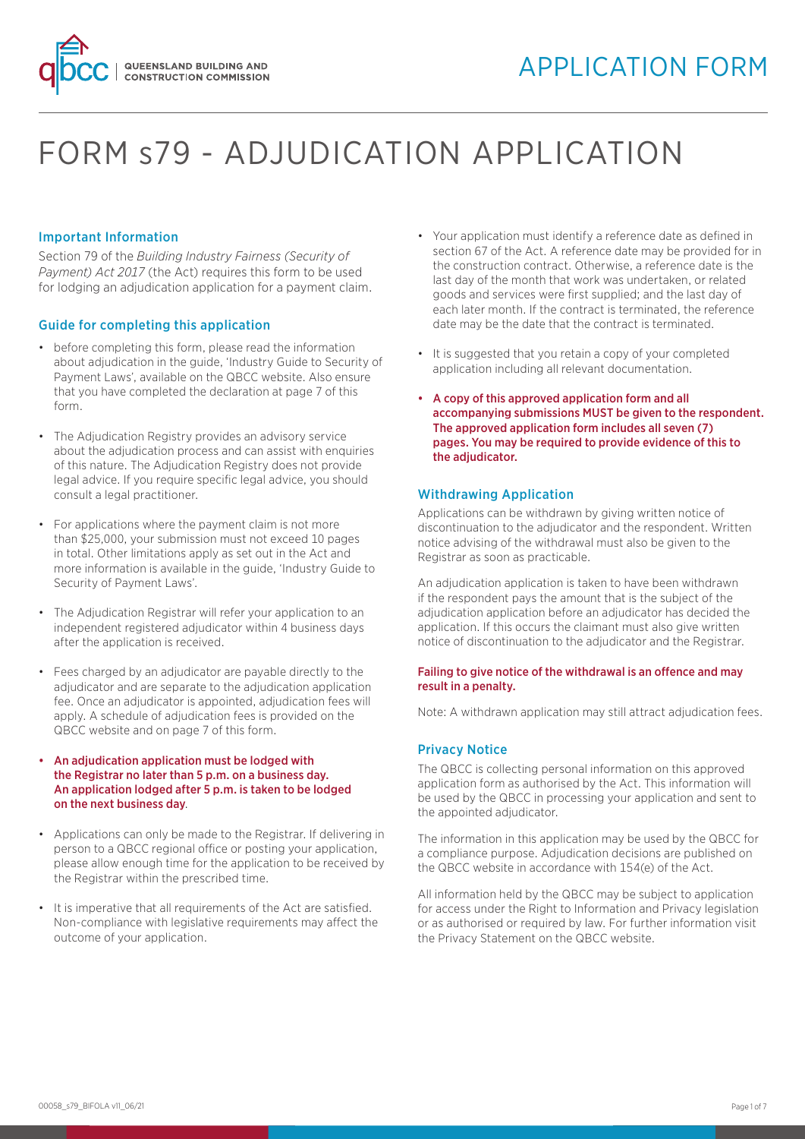

# FORM s79 - ADJUDICATION APPLICATION

### Important Information

Section 79 of the *Building Industry Fairness (Security of Payment) Act 2017* (the Act) requires this form to be used for lodging an adjudication application for a payment claim.

#### Guide for completing this application

- before completing this form, please read the information about adjudication in the guide, 'Industry Guide to Security of Payment Laws', available on the QBCC website. Also ensure that you have completed the declaration at page 7 of this form.
- The Adjudication Registry provides an advisory service about the adjudication process and can assist with enquiries of this nature. The Adjudication Registry does not provide legal advice. If you require specific legal advice, you should consult a legal practitioner.
- For applications where the payment claim is not more than \$25,000, your submission must not exceed 10 pages in total. Other limitations apply as set out in the Act and more information is available in the guide, 'Industry Guide to Security of Payment Laws'.
- The Adjudication Registrar will refer your application to an independent registered adjudicator within 4 business days after the application is received.
- Fees charged by an adjudicator are payable directly to the adjudicator and are separate to the adjudication application fee. Once an adjudicator is appointed, adjudication fees will apply. A schedule of adjudication fees is provided on the QBCC website and on page 7 of this form.
- An adjudication application must be lodged with the Registrar no later than 5 p.m. on a business day. An application lodged after 5 p.m. is taken to be lodged on the next business day.
- Applications can only be made to the Registrar. If delivering in person to a QBCC regional office or posting your application, please allow enough time for the application to be received by the Registrar within the prescribed time.
- It is imperative that all requirements of the Act are satisfied. Non-compliance with legislative requirements may affect the outcome of your application.
- Your application must identify a reference date as defined in section 67 of the Act. A reference date may be provided for in the construction contract. Otherwise, a reference date is the last day of the month that work was undertaken, or related goods and services were first supplied; and the last day of each later month. If the contract is terminated, the reference date may be the date that the contract is terminated.
- It is suggested that you retain a copy of your completed application including all relevant documentation.
- A copy of this approved application form and all accompanying submissions MUST be given to the respondent. The approved application form includes all seven (7) pages. You may be required to provide evidence of this to the adjudicator.

#### Withdrawing Application

Applications can be withdrawn by giving written notice of discontinuation to the adjudicator and the respondent. Written notice advising of the withdrawal must also be given to the Registrar as soon as practicable.

An adjudication application is taken to have been withdrawn if the respondent pays the amount that is the subject of the adjudication application before an adjudicator has decided the application. If this occurs the claimant must also give written notice of discontinuation to the adjudicator and the Registrar.

#### Failing to give notice of the withdrawal is an offence and may result in a penalty.

Note: A withdrawn application may still attract adjudication fees.

### Privacy Notice

The QBCC is collecting personal information on this approved application form as authorised by the Act. This information will be used by the QBCC in processing your application and sent to the appointed adjudicator.

The information in this application may be used by the QBCC for a compliance purpose. Adjudication decisions are published on the QBCC website in accordance with 154(e) of the Act.

All information held by the QBCC may be subject to application for access under the Right to Information and Privacy legislation or as authorised or required by law. For further information visit the Privacy Statement on the QBCC website.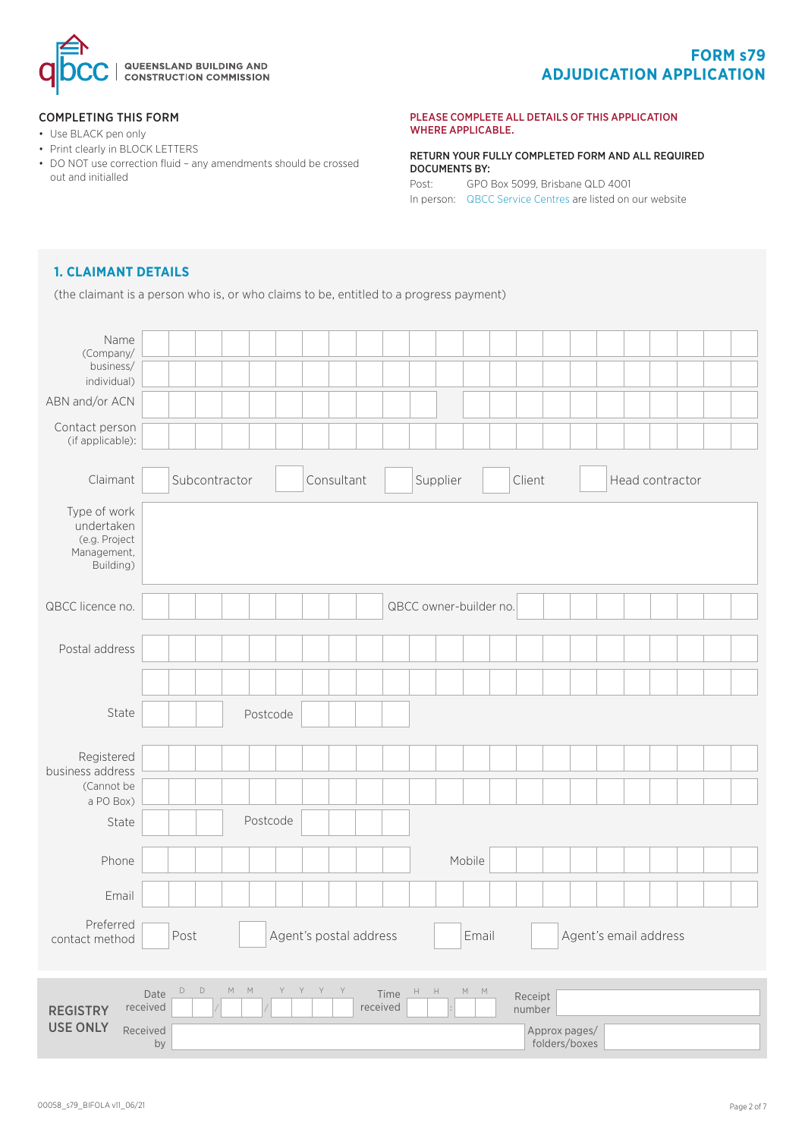

# **FORM s79 ADJUDICATION APPLICATION**

#### COMPLETING THIS FORM

- Use BLACK pen only
- Print clearly in BLOCK LETTERS
- DO NOT use correction fluid any amendments should be crossed out and initialled

#### PLEASE COMPLETE ALL DETAILS OF THIS APPLICATION WHERE APPLICABLE.

RETURN YOUR FULLY COMPLETED FORM AND ALL REQUIRED DOCUMENTS BY: Post: GPO Box 5099, Brisbane QLD 4001 In person: [QBCC Service Centres](www.qbcc.qld.gov.au/locate-office) are listed on our website

# **1. CLAIMANT DETAILS**

(the claimant is a person who is, or who claims to be, entitled to a progress payment)

| Name<br>(Company/<br>business/<br>individual)                           |                                                       |              |                        |                                                        |                   |                       |                 |  |
|-------------------------------------------------------------------------|-------------------------------------------------------|--------------|------------------------|--------------------------------------------------------|-------------------|-----------------------|-----------------|--|
| ABN and/or ACN<br>Contact person<br>(if applicable):                    |                                                       |              |                        |                                                        |                   |                       |                 |  |
| Claimant                                                                | Subcontractor                                         |              | Consultant             | Supplier                                               | Client            |                       | Head contractor |  |
| Type of work<br>undertaken<br>(e.g. Project<br>Management,<br>Building) |                                                       |              |                        |                                                        |                   |                       |                 |  |
| QBCC licence no.                                                        |                                                       |              |                        | QBCC owner-builder no.                                 |                   |                       |                 |  |
| Postal address                                                          |                                                       |              |                        |                                                        |                   |                       |                 |  |
|                                                                         |                                                       |              |                        |                                                        |                   |                       |                 |  |
| State                                                                   |                                                       | Postcode     |                        |                                                        |                   |                       |                 |  |
| Registered<br>business address<br>(Cannot be<br>a PO Box)               |                                                       |              |                        |                                                        |                   |                       |                 |  |
| State                                                                   |                                                       | Postcode     |                        |                                                        |                   |                       |                 |  |
| Phone                                                                   |                                                       |              |                        | Mobile                                                 |                   |                       |                 |  |
| Email                                                                   |                                                       |              |                        |                                                        |                   |                       |                 |  |
| Preferred<br>contact method                                             | Post                                                  |              | Agent's postal address | Email                                                  |                   | Agent's email address |                 |  |
| <b>REGISTRY</b>                                                         | $\mathsf D$<br>D<br>$\mathbb M^-$<br>Date<br>received | M<br>Y Y Y Y | Time<br>received       | $\mathsf{H}=\mathsf{H}$<br>${\mathsf M}$ ${\mathsf M}$ | Receipt<br>number |                       |                 |  |
| <b>USE ONLY</b>                                                         | Received<br>by                                        |              |                        |                                                        | Approx pages/     | folders/boxes         |                 |  |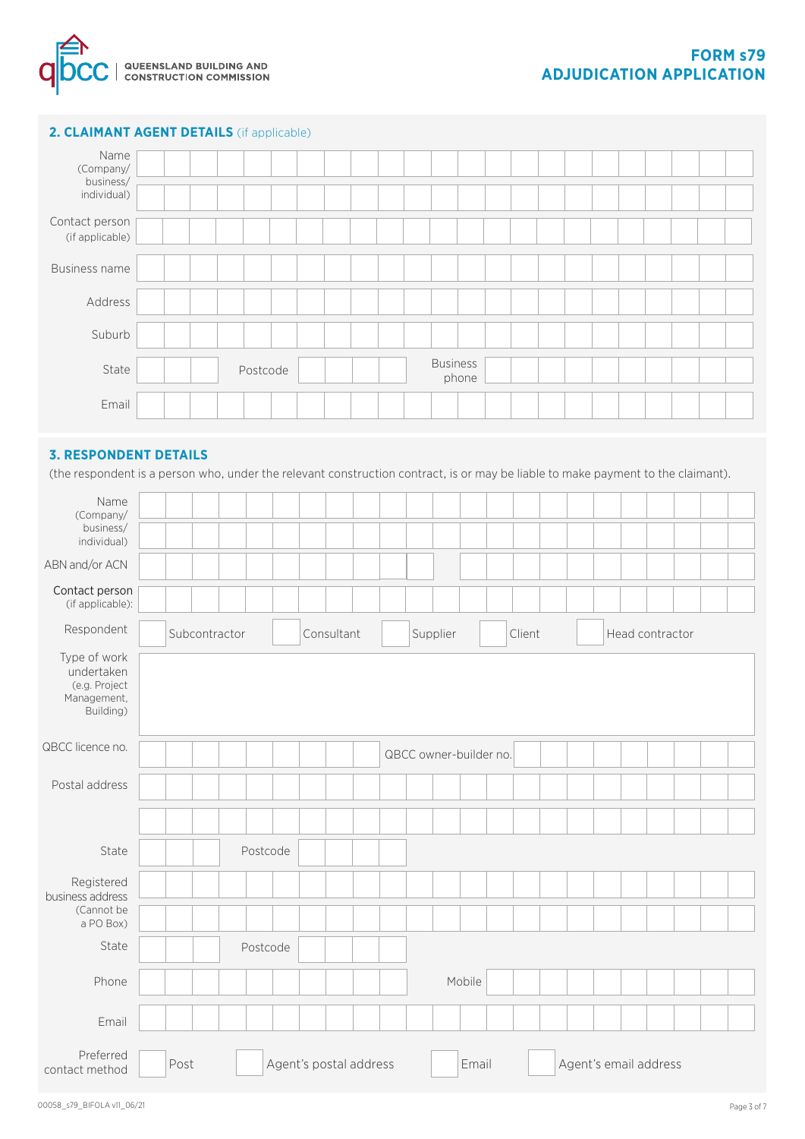

# **2. CLAIMANT AGENT DETAILS** (if applicable)

| Name<br>(Company/<br>business/<br>individual) |          |  |  |                          |  |  |  |  |  |  |
|-----------------------------------------------|----------|--|--|--------------------------|--|--|--|--|--|--|
| Contact person<br>(if applicable)             |          |  |  |                          |  |  |  |  |  |  |
| <b>Business name</b>                          |          |  |  |                          |  |  |  |  |  |  |
| Address                                       |          |  |  |                          |  |  |  |  |  |  |
| Suburb                                        |          |  |  |                          |  |  |  |  |  |  |
| State                                         | Postcode |  |  | <b>Business</b><br>phone |  |  |  |  |  |  |
| Email                                         |          |  |  |                          |  |  |  |  |  |  |

# **3. RESPONDENT DETAILS**

(the respondent is a person who, under the relevant construction contract, is or may be liable to make payment to the claimant).

| Name<br>(Company/<br>business/<br>individual)                           |               |          |                        |                        |        |                       |                 |  |
|-------------------------------------------------------------------------|---------------|----------|------------------------|------------------------|--------|-----------------------|-----------------|--|
| ABN and/or ACN                                                          |               |          |                        |                        |        |                       |                 |  |
| Contact person<br>(if applicable):                                      |               |          |                        |                        |        |                       |                 |  |
| Respondent                                                              | Subcontractor |          | Consultant             | Supplier               | Client |                       | Head contractor |  |
| Type of work<br>undertaken<br>(e.g. Project<br>Management,<br>Building) |               |          |                        |                        |        |                       |                 |  |
| QBCC licence no.                                                        |               |          |                        | QBCC owner-builder no. |        |                       |                 |  |
| Postal address                                                          |               |          |                        |                        |        |                       |                 |  |
|                                                                         |               |          |                        |                        |        |                       |                 |  |
| State                                                                   |               | Postcode |                        |                        |        |                       |                 |  |
| Registered<br>business address                                          |               |          |                        |                        |        |                       |                 |  |
| (Cannot be<br>a PO Box)                                                 |               |          |                        |                        |        |                       |                 |  |
| State                                                                   |               | Postcode |                        |                        |        |                       |                 |  |
| Phone                                                                   |               |          |                        |                        | Mobile |                       |                 |  |
| Email                                                                   |               |          |                        |                        |        |                       |                 |  |
| Preferred<br>contact method                                             | Post          |          | Agent's postal address |                        | Email  | Agent's email address |                 |  |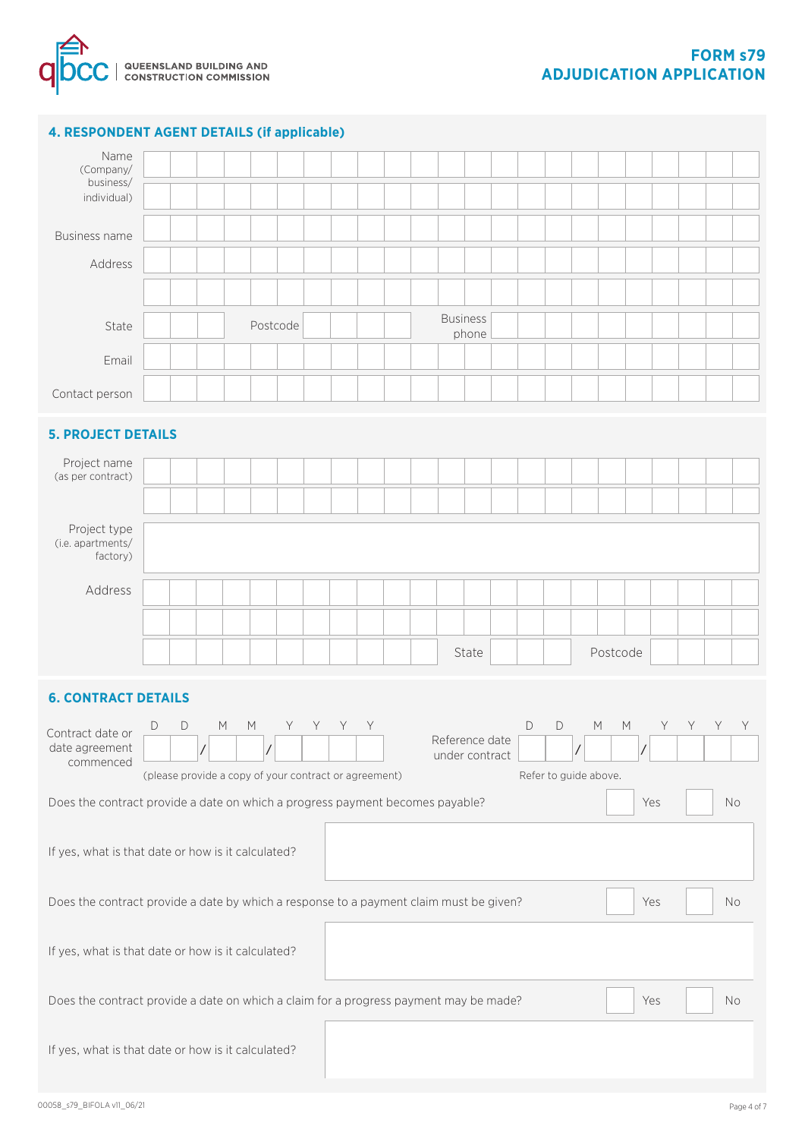

# **4. RESPONDENT AGENT DETAILS (if applicable)**

| Name<br>(Company/<br>business/<br>individual)                                                       |                                                       |                |                                                                                                            |                |   |   |   |   |  |  |                                  |       |             |                       |            |          |                                                                                                            |     |   |    |    |
|-----------------------------------------------------------------------------------------------------|-------------------------------------------------------|----------------|------------------------------------------------------------------------------------------------------------|----------------|---|---|---|---|--|--|----------------------------------|-------|-------------|-----------------------|------------|----------|------------------------------------------------------------------------------------------------------------|-----|---|----|----|
| Business name                                                                                       |                                                       |                |                                                                                                            |                |   |   |   |   |  |  |                                  |       |             |                       |            |          |                                                                                                            |     |   |    |    |
| Address                                                                                             |                                                       |                |                                                                                                            |                |   |   |   |   |  |  |                                  |       |             |                       |            |          |                                                                                                            |     |   |    |    |
|                                                                                                     |                                                       |                |                                                                                                            |                |   |   |   |   |  |  |                                  |       |             |                       |            |          |                                                                                                            |     |   |    |    |
| State                                                                                               |                                                       |                |                                                                                                            | Postcode       |   |   |   |   |  |  | <b>Business</b>                  | phone |             |                       |            |          |                                                                                                            |     |   |    |    |
| Email                                                                                               |                                                       |                |                                                                                                            |                |   |   |   |   |  |  |                                  |       |             |                       |            |          |                                                                                                            |     |   |    |    |
| Contact person                                                                                      |                                                       |                |                                                                                                            |                |   |   |   |   |  |  |                                  |       |             |                       |            |          |                                                                                                            |     |   |    |    |
| <b>5. PROJECT DETAILS</b>                                                                           |                                                       |                |                                                                                                            |                |   |   |   |   |  |  |                                  |       |             |                       |            |          |                                                                                                            |     |   |    |    |
| Project name                                                                                        |                                                       |                |                                                                                                            |                |   |   |   |   |  |  |                                  |       |             |                       |            |          |                                                                                                            |     |   |    |    |
| (as per contract)                                                                                   |                                                       |                |                                                                                                            |                |   |   |   |   |  |  |                                  |       |             |                       |            |          |                                                                                                            |     |   |    |    |
| Project type<br>(i.e. apartments/<br>factory)                                                       |                                                       |                |                                                                                                            |                |   |   |   |   |  |  |                                  |       |             |                       |            |          |                                                                                                            |     |   |    |    |
| Address                                                                                             |                                                       |                |                                                                                                            |                |   |   |   |   |  |  |                                  |       |             |                       |            |          |                                                                                                            |     |   |    |    |
|                                                                                                     |                                                       |                |                                                                                                            |                |   |   |   |   |  |  |                                  |       |             |                       |            |          |                                                                                                            |     |   |    |    |
|                                                                                                     |                                                       |                |                                                                                                            |                |   |   |   |   |  |  |                                  | State |             |                       |            | Postcode |                                                                                                            |     |   |    |    |
| <b>6. CONTRACT DETAILS</b>                                                                          |                                                       |                |                                                                                                            |                |   |   |   |   |  |  |                                  |       |             |                       |            |          |                                                                                                            |     |   |    |    |
|                                                                                                     | $\mathsf D$<br>D                                      |                | $\mathsf{M}% _{T}=\mathsf{M}_{T}\!\left( a,b\right) ,\ \mathsf{M}_{T}=\mathsf{M}_{T}\!\left( a,b\right) ,$ | M              | Y | Y | Y | Υ |  |  |                                  |       | $\mathsf D$ | D                     | M          |          | $\mathsf{M}% _{T}=\mathsf{M}_{T}\!\left( a,b\right) ,\ \mathsf{M}_{T}=\mathsf{M}_{T}\!\left( a,b\right) ,$ | Y   | Υ | Y  | Y  |
| Contract date or<br>date agreement                                                                  |                                                       | $\overline{1}$ |                                                                                                            | $\overline{I}$ |   |   |   |   |  |  | Reference date<br>under contract |       |             |                       | $\sqrt{2}$ |          | $\overline{\phantom{a}}$                                                                                   |     |   |    |    |
| commenced                                                                                           | (please provide a copy of your contract or agreement) |                |                                                                                                            |                |   |   |   |   |  |  |                                  |       |             | Refer to guide above. |            |          |                                                                                                            |     |   |    |    |
| Does the contract provide a date on which a progress payment becomes payable?                       |                                                       |                |                                                                                                            |                |   |   |   |   |  |  |                                  |       |             |                       |            |          |                                                                                                            | Yes |   |    | No |
| If yes, what is that date or how is it calculated?                                                  |                                                       |                |                                                                                                            |                |   |   |   |   |  |  |                                  |       |             |                       |            |          |                                                                                                            |     |   |    |    |
| Does the contract provide a date by which a response to a payment claim must be given?<br>Yes<br>No |                                                       |                |                                                                                                            |                |   |   |   |   |  |  |                                  |       |             |                       |            |          |                                                                                                            |     |   |    |    |
| If yes, what is that date or how is it calculated?                                                  |                                                       |                |                                                                                                            |                |   |   |   |   |  |  |                                  |       |             |                       |            |          |                                                                                                            |     |   |    |    |
| Does the contract provide a date on which a claim for a progress payment may be made?               |                                                       |                |                                                                                                            |                |   |   |   |   |  |  |                                  |       |             |                       |            |          |                                                                                                            | Yes |   | No |    |
| If yes, what is that date or how is it calculated?                                                  |                                                       |                |                                                                                                            |                |   |   |   |   |  |  |                                  |       |             |                       |            |          |                                                                                                            |     |   |    |    |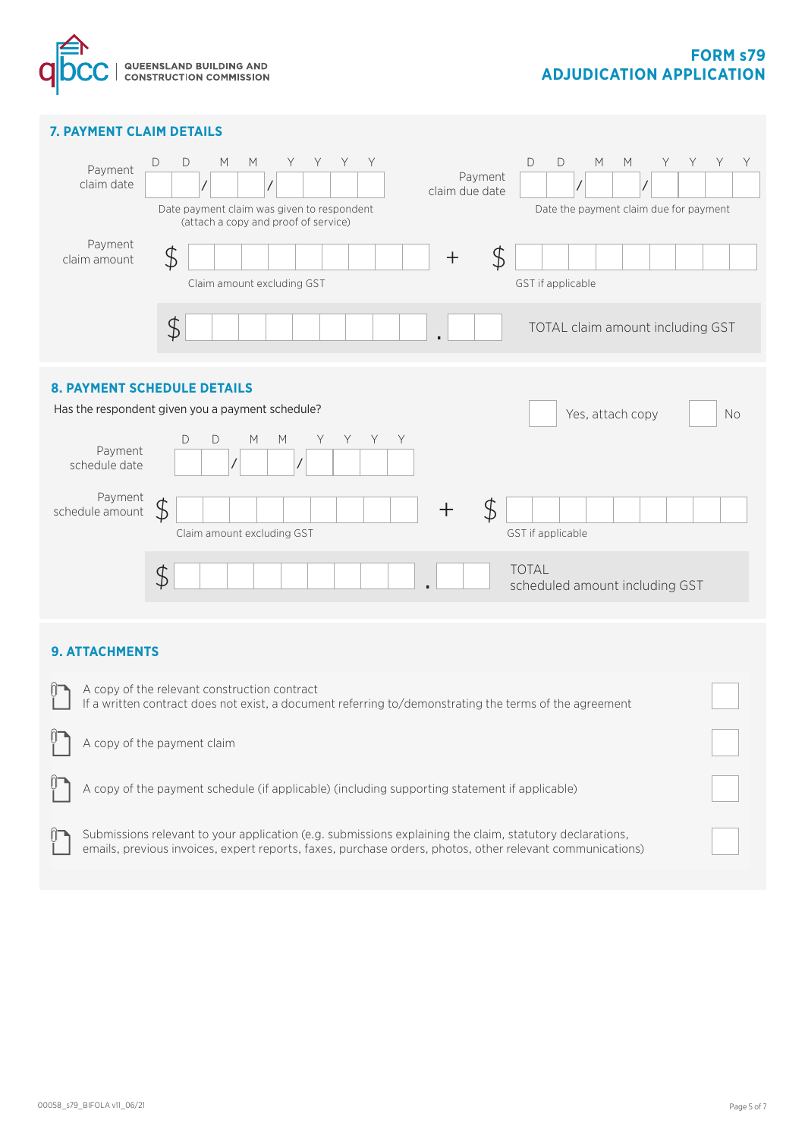

# **FORM s79 ADJUDICATION APPLICATION**

# **9. ATTACHMENTS** A copy of the relevant construction contract If a written contract does not exist, a document referring to/demonstrating the terms of the agreement A copy of the payment claim A copy of the payment schedule (if applicable) (including supporting statement if applicable) Yes, attach copy No Payment schedule date D D M M Y Y Y Y / / Payment schedule amount Claim amount excluding GST  $\mathcal{F}$ GST if applicable + \$  $\begin{array}{ccc} \textbf{\$} & \textbf{\$} & \textbf{\$} \end{array}$  . Total scheduled amount including GST **8. PAYMENT SCHEDULE DETAILS** Has the respondent given you a payment schedule? Date the payment claim due for payment **7. PAYMENT CLAIM DETAILS** Date payment claim was given to respondent (attach a copy and proof of service) Payment claim due date Payment claim date D D M M Y Y Y Y / / D D M M Y Y Y Y / / Payment claim amount Claim amount excluding GST GST if applicable TOTAL claim amount including GST  $\frac{1}{2}$   $\frac{1}{2}$   $\frac{1}{2}$   $\frac{1}{2}$   $\frac{1}{2}$   $\frac{1}{2}$   $\frac{1}{2}$   $\frac{1}{2}$   $\frac{1}{2}$   $\frac{1}{2}$   $\frac{1}{2}$   $\frac{1}{2}$   $\frac{1}{2}$   $\frac{1}{2}$   $\frac{1}{2}$   $\frac{1}{2}$   $\frac{1}{2}$   $\frac{1}{2}$   $\frac{1}{2}$   $\frac{1}{2}$   $\frac{1}{2}$   $\frac{1}{2}$   $$$  .

Submissions relevant to your application (e.g. submissions explaining the claim, statutory declarations, emails, previous invoices, expert reports, faxes, purchase orders, photos, other relevant communications)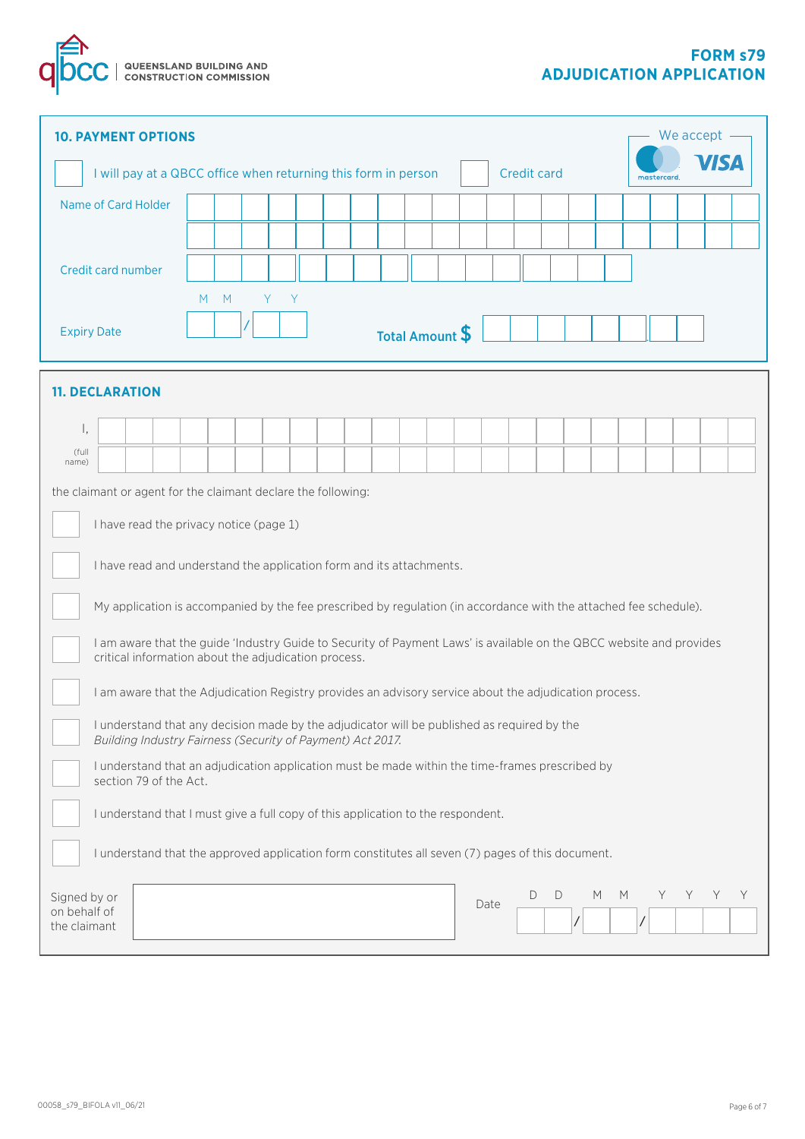

| We accept<br><b>10. PAYMENT OPTIONS</b>                                                                                                                                      |  |  |  |  |  |  |  |  |  |  |  |      |                    |   |   |   |            |   |   |   |
|------------------------------------------------------------------------------------------------------------------------------------------------------------------------------|--|--|--|--|--|--|--|--|--|--|--|------|--------------------|---|---|---|------------|---|---|---|
| I will pay at a QBCC office when returning this form in person                                                                                                               |  |  |  |  |  |  |  |  |  |  |  |      | <b>Credit card</b> |   |   |   | mastercard |   |   |   |
| Name of Card Holder                                                                                                                                                          |  |  |  |  |  |  |  |  |  |  |  |      |                    |   |   |   |            |   |   |   |
|                                                                                                                                                                              |  |  |  |  |  |  |  |  |  |  |  |      |                    |   |   |   |            |   |   |   |
| Credit card number                                                                                                                                                           |  |  |  |  |  |  |  |  |  |  |  |      |                    |   |   |   |            |   |   |   |
| M<br>M<br>Y<br>Y                                                                                                                                                             |  |  |  |  |  |  |  |  |  |  |  |      |                    |   |   |   |            |   |   |   |
| <b>Expiry Date</b><br>Total Amount \$                                                                                                                                        |  |  |  |  |  |  |  |  |  |  |  |      |                    |   |   |   |            |   |   |   |
| <b>11. DECLARATION</b>                                                                                                                                                       |  |  |  |  |  |  |  |  |  |  |  |      |                    |   |   |   |            |   |   |   |
| Ι,                                                                                                                                                                           |  |  |  |  |  |  |  |  |  |  |  |      |                    |   |   |   |            |   |   |   |
| (full<br>name)                                                                                                                                                               |  |  |  |  |  |  |  |  |  |  |  |      |                    |   |   |   |            |   |   |   |
| the claimant or agent for the claimant declare the following:                                                                                                                |  |  |  |  |  |  |  |  |  |  |  |      |                    |   |   |   |            |   |   |   |
| I have read the privacy notice (page 1)                                                                                                                                      |  |  |  |  |  |  |  |  |  |  |  |      |                    |   |   |   |            |   |   |   |
| I have read and understand the application form and its attachments.                                                                                                         |  |  |  |  |  |  |  |  |  |  |  |      |                    |   |   |   |            |   |   |   |
| My application is accompanied by the fee prescribed by regulation (in accordance with the attached fee schedule).                                                            |  |  |  |  |  |  |  |  |  |  |  |      |                    |   |   |   |            |   |   |   |
| I am aware that the guide 'Industry Guide to Security of Payment Laws' is available on the QBCC website and provides<br>critical information about the adjudication process. |  |  |  |  |  |  |  |  |  |  |  |      |                    |   |   |   |            |   |   |   |
| I am aware that the Adjudication Registry provides an advisory service about the adjudication process.                                                                       |  |  |  |  |  |  |  |  |  |  |  |      |                    |   |   |   |            |   |   |   |
| I understand that any decision made by the adjudicator will be published as required by the<br>Building Industry Fairness (Security of Payment) Act 2017.                    |  |  |  |  |  |  |  |  |  |  |  |      |                    |   |   |   |            |   |   |   |
| I understand that an adjudication application must be made within the time-frames prescribed by<br>section 79 of the Act.                                                    |  |  |  |  |  |  |  |  |  |  |  |      |                    |   |   |   |            |   |   |   |
| I understand that I must give a full copy of this application to the respondent.                                                                                             |  |  |  |  |  |  |  |  |  |  |  |      |                    |   |   |   |            |   |   |   |
| I understand that the approved application form constitutes all seven (7) pages of this document.                                                                            |  |  |  |  |  |  |  |  |  |  |  |      |                    |   |   |   |            |   |   |   |
| Signed by or<br>on behalf of<br>the claimant                                                                                                                                 |  |  |  |  |  |  |  |  |  |  |  | Date | D                  | D | М | M |            | Y | Y | Y |